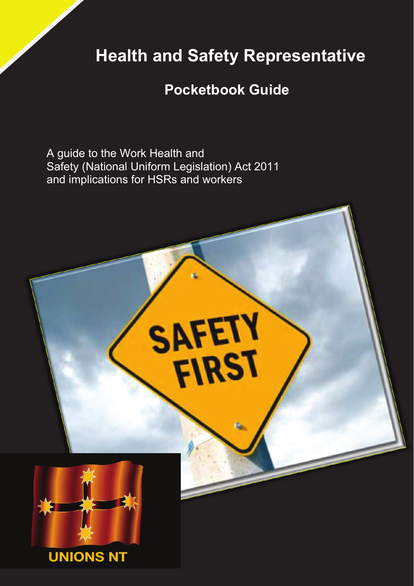## **Health and Safety Representative**

## **Pocketbook Guide**

A guide to the Work Health and Safety (National Uniform Legislation) Act 2011 and implications for HSRs and workers

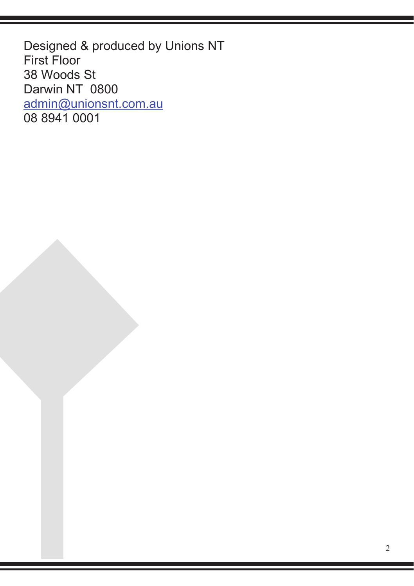Designed & produced by Unions NT First Floor 38 Woods St Darwin NT 0800 admin@unionsnt.com.au 08 8941 0001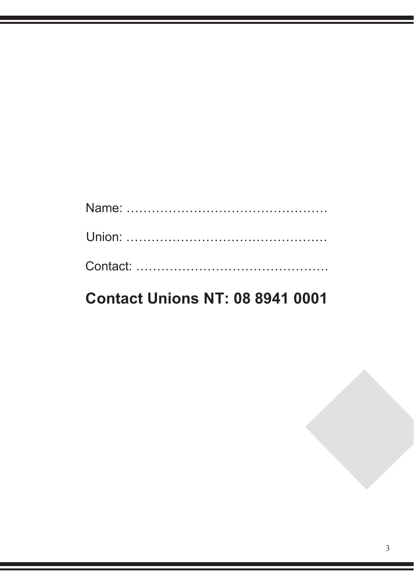# Name: ………………………………………… Union: ………………………………………… Contact: ……………………………………….

## **Contact Unions NT: 08 8941 0001**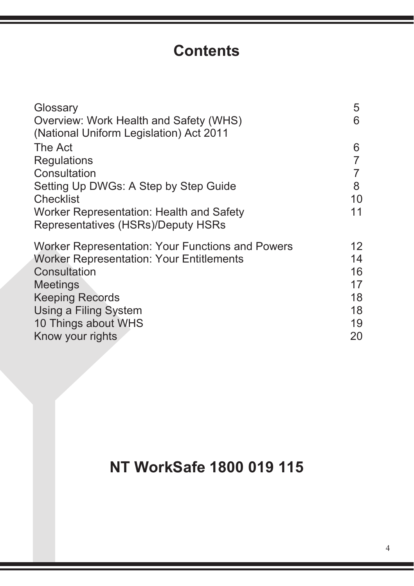## **Contents**

| Glossary<br>Overview: Work Health and Safety (WHS)<br>(National Uniform Legislation) Act 2011 | 5<br>6         |
|-----------------------------------------------------------------------------------------------|----------------|
| The Act                                                                                       | 6              |
| Regulations                                                                                   |                |
| Consultation                                                                                  | $\overline{7}$ |
| Setting Up DWGs: A Step by Step Guide                                                         | 8              |
| Checklist                                                                                     | 10             |
| Worker Representation: Health and Safety                                                      | 11             |
| Representatives (HSRs)/Deputy HSRs                                                            |                |
| Worker Representation: Your Functions and Powers                                              | 12             |
| <b>Worker Representation: Your Entitlements</b>                                               | 14             |
| Consultation                                                                                  | 16             |
| Meetings                                                                                      | 17             |
| <b>Keeping Records</b>                                                                        | 18             |
| Using a Filing System                                                                         | 18             |
| 10 Things about WHS                                                                           | 19             |
| Know your rights                                                                              | 20             |
|                                                                                               |                |

## **NT WorkSafe 1800 019 115**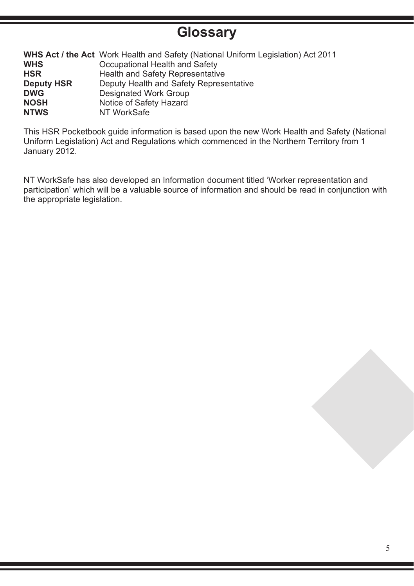### **Glossary**

|                   | <b>WHS Act / the Act</b> Work Health and Safety (National Uniform Legislation) Act 2011 |
|-------------------|-----------------------------------------------------------------------------------------|
| <b>WHS</b>        | Occupational Health and Safety                                                          |
| <b>HSR</b>        | Health and Safety Representative                                                        |
| <b>Deputy HSR</b> | Deputy Health and Safety Representative                                                 |
| <b>DWG</b>        | Designated Work Group                                                                   |
| <b>NOSH</b>       | Notice of Safety Hazard                                                                 |
| <b>NTWS</b>       | NT WorkSafe                                                                             |

This HSR Pocketbook guide information is based upon the new Work Health and Safety (National Uniform Legislation) Act and Regulations which commenced in the Northern Territory from 1 January 2012.

NT WorkSafe has also developed an Information document titled 'Worker representation and participation' which will be a valuable source of information and should be read in conjunction with the appropriate legislation.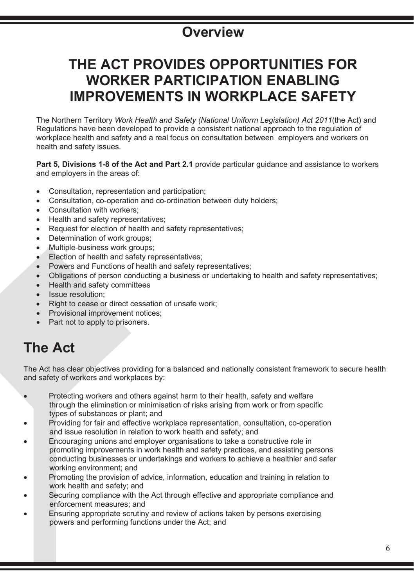### **Overview**

## **THE ACT PROVIDES OPPORTUNITIES FOR WORKER PARTICIPATION ENABLING IMPROVEMENTS IN WORKPLACE SAFETY**

The Northern Territory *Work Health and Safety (National Uniform Legislation) Act 2011*(the Act) and Regulations have been developed to provide a consistent national approach to the regulation of workplace health and safety and a real focus on consultation between employers and workers on health and safety issues.

**Part 5, Divisions 1-8 of the Act and Part 2.1** provide particular guidance and assistance to workers and employers in the areas of:

- Consultation, representation and participation;
- Consultation, co-operation and co-ordination between duty holders;
- Consultation with workers:
- Health and safety representatives;
- Request for election of health and safety representatives:
- Determination of work groups:
- Multiple-business work groups;
- Election of health and safety representatives:
- Powers and Functions of health and safety representatives;
- Obligations of person conducting a business or undertaking to health and safety representatives;
- Health and safety committees
- Issue resolution:
- Right to cease or direct cessation of unsafe work;
- Provisional improvement notices;
- Part not to apply to prisoners.

### **The Act**

The Act has clear objectives providing for a balanced and nationally consistent framework to secure health and safety of workers and workplaces by:

- Protecting workers and others against harm to their health, safety and welfare through the elimination or minimisation of risks arising from work or from specific types of substances or plant; and
- Providing for fair and effective workplace representation, consultation, co-operation and issue resolution in relation to work health and safety; and
- Encouraging unions and employer organisations to take a constructive role in promoting improvements in work health and safety practices, and assisting persons conducting businesses or undertakings and workers to achieve a healthier and safer working environment; and
- Promoting the provision of advice, information, education and training in relation to work health and safety; and
- Securing compliance with the Act through effective and appropriate compliance and enforcement measures; and
- Ensuring appropriate scrutiny and review of actions taken by persons exercising powers and performing functions under the Act; and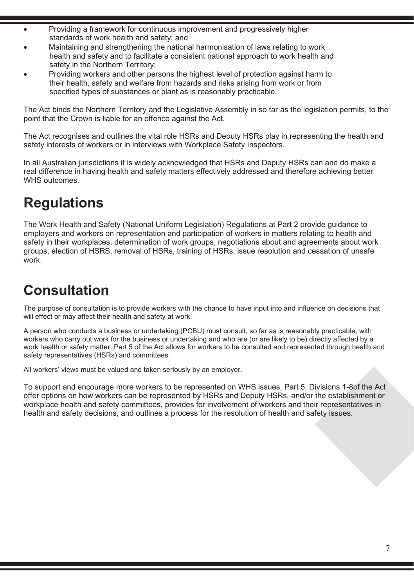- Providing a framework for continuous improvement and progressively higher standards of work health and safety; and
- Maintaining and strengthening the national harmonisation of laws relating to work health and safety and to facilitate a consistent national approach to work health and safety in the Northern Territory;
- Providing workers and other persons the highest level of protection against harm to their health, safety and welfare from hazards and risks arising from work or from specified types of substances or plant as is reasonably practicable.

The Act binds the Northern Territory and the Legislative Assembly in so far as the legislation permits, to the point that the Crown is liable for an offence against the Act.

The Act recognises and outlines the vital role HSRs and Deputy HSRs play in representing the health and safety interests of workers or in interviews with Workplace Safety Inspectors.

In all Australian jurisdictions it is widely acknowledged that HSRs and Deputy HSRs can and do make a real difference in having health and safety matters effectively addressed and therefore achieving better WHS outcomes.

## **Regulations**

The Work Health and Safety (National Uniform Legislation) Regulations at Part 2 provide guidance to employers and workers on representation and participation of workers in matters relating to health and safety in their workplaces, determination of work groups, negotiations about and agreements about work groups, election of HSRS, removal of HSRs, training of HSRs, issue resolution and cessation of unsafe work.

## **Consultation**

The purpose of consultation is to provide workers with the chance to have input into and influence on decisions that will effect or may affect their health and safety at work.

A person who conducts a business or undertaking (PCBU) must consult, so far as is reasonably practicable, with workers who carry out work for the business or undertaking and who are (or are likely to be) directly affected by a work health or safety matter. Part 5 of the Act allows for workers to be consulted and represented through health and safety representatives (HSRs) and committees.

All workers' views must be valued and taken seriously by an employer.

To support and encourage more workers to be represented on WHS issues, Part 5, Divisions 1-8of the Act offer options on how workers can be represented by HSRs and Deputy HSRs, and/or the establishment or workplace health and safety committees, provides for involvement of workers and their representatives in health and safety decisions, and outlines a process for the resolution of health and safety issues.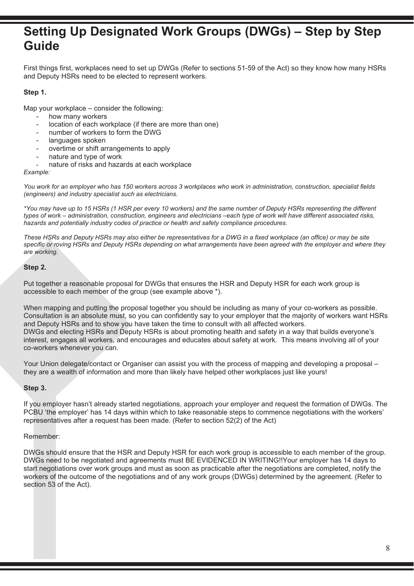### **Setting Up Designated Work Groups (DWGs) – Step by Step Guide**

First things first, workplaces need to set up DWGs (Refer to sections 51-59 of the Act) so they know how many HSRs and Deputy HSRs need to be elected to represent workers.

### **Step 1.**

Map your workplace – consider the following:

- how many workers
- location of each workplace (if there are more than one)
- number of workers to form the DWG
- languages spoken
- overtime or shift arrangements to apply
- nature and type of work
- nature of risks and hazards at each workplace

*Example:* 

*You work for an employer who has 150 workers across 3 workplaces who work in administration, construction, specialist fields (engineers) and industry specialist such as electricians.*

*\*You may have up to 15 HSRs (1 HSR per every 10 workers) and the same number of Deputy HSRs representing the different types of work – administration, construction, engineers and electricians –each type of work will have different associated risks, hazards and potentially industry codes of practice or health and safety compliance procedures.*

*These HSRs and Deputy HSRs may also either be representatives for a DWG in a fixed workplace (an office) or may be site specific or roving HSRs and Deputy HSRs depending on what arrangements have been agreed with the employer and where they are working.*

#### **Step 2.**

Put together a reasonable proposal for DWGs that ensures the HSR and Deputy HSR for each work group is accessible to each member of the group (see example above \*).

When mapping and putting the proposal together you should be including as many of your co-workers as possible. Consultation is an absolute must, so you can confidently say to your employer that the majority of workers want HSRs and Deputy HSRs and to show you have taken the time to consult with all affected workers. DWGs and electing HSRs and Deputy HSRs is about promoting health and safety in a way that builds everyone's interest, engages all workers, and encourages and educates about safety at work. This means involving all of your co-workers whenever you can.

Your Union delegate/contact or Organiser can assist you with the process of mapping and developing a proposal – they are a wealth of information and more than likely have helped other workplaces just like yours!

#### **Step 3.**

If you employer hasn't already started negotiations, approach your employer and request the formation of DWGs. The PCBU 'the employer' has 14 days within which to take reasonable steps to commence negotiations with the workers' representatives after a request has been made. (Refer to section 52(2) of the Act)

#### Remember:

DWGs should ensure that the HSR and Deputy HSR for each work group is accessible to each member of the group. DWGs need to be negotiated and agreements must BE EVIDENCED IN WRITING!!Your employer has 14 days to start negotiations over work groups and must as soon as practicable after the negotiations are completed, notify the workers of the outcome of the negotiations and of any work groups (DWGs) determined by the agreement. (Refer to section 53 of the Act).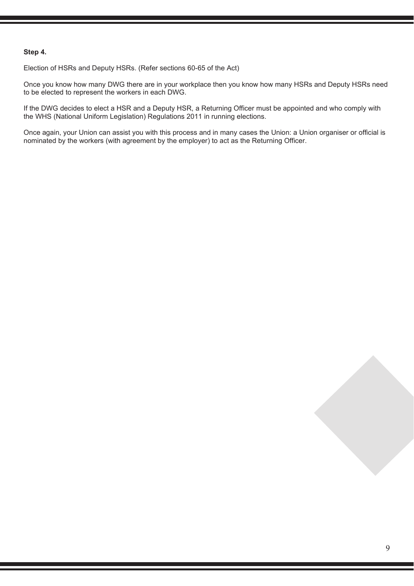#### **Step 4.**

Election of HSRs and Deputy HSRs. (Refer sections 60-65 of the Act)

Once you know how many DWG there are in your workplace then you know how many HSRs and Deputy HSRs need to be elected to represent the workers in each DWG.

If the DWG decides to elect a HSR and a Deputy HSR, a Returning Officer must be appointed and who comply with the WHS (National Uniform Legislation) Regulations 2011 in running elections.

Once again, your Union can assist you with this process and in many cases the Union: a Union organiser or official is nominated by the workers (with agreement by the employer) to act as the Returning Officer.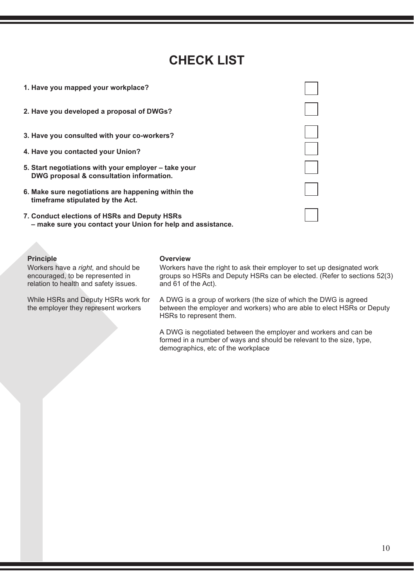### **CHECK LIST**

| 1. Have you mapped your workplace?                                                                          |  |
|-------------------------------------------------------------------------------------------------------------|--|
| 2. Have you developed a proposal of DWGs?                                                                   |  |
| 3. Have you consulted with your co-workers?                                                                 |  |
| 4. Have you contacted your Union?                                                                           |  |
| 5. Start negotiations with your employer – take your<br>DWG proposal & consultation information.            |  |
| 6. Make sure negotiations are happening within the<br>timeframe stipulated by the Act.                      |  |
| 7. Conduct elections of HSRs and Deputy HSRs<br>- make sure you contact your Union for help and assistance. |  |

Workers have a *right*, and should be encouraged, to be represented in relation to health and safety issues.

While HSRs and Deputy HSRs work for the employer they represent workers

#### **Principle Overview**

Workers have the right to ask their employer to set up designated work groups so HSRs and Deputy HSRs can be elected. (Refer to sections 52(3) and 61 of the Act).

A DWG is a group of workers (the size of which the DWG is agreed between the employer and workers) who are able to elect HSRs or Deputy HSRs to represent them.

A DWG is negotiated between the employer and workers and can be formed in a number of ways and should be relevant to the size, type, demographics, etc of the workplace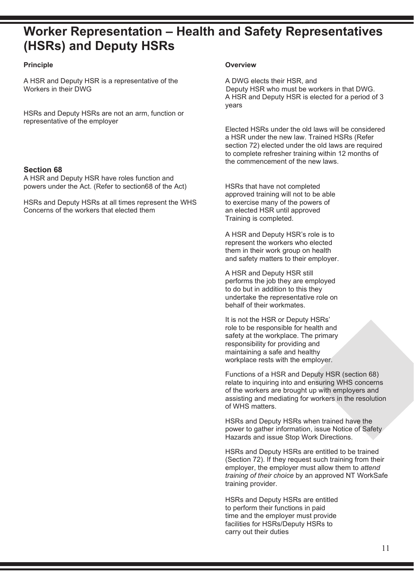### **Worker Representation – Health and Safety Representatives (HSRs) and Deputy HSRs**

A HSR and Deputy HSR is a representative of the A DWG elects their HSR, and A DWG elects their HSR, and A Deputy HSR who must be wo

HSRs and Deputy HSRs are not an arm, function or representative of the employer

#### **Section 68**

A HSR and Deputy HSR have roles function and powers under the Act. (Refer to section68 of the Act) HSRs that have not completed

HSRs and Deputy HSRs at all times represent the WHS to exercise many of the powers<br>Concerns of the workers that elected them an elected HSR until approved Concerns of the workers that elected them

### **Principle Overview**

Deputy HSR who must be workers in that DWG. A HSR and Deputy HSR is elected for a period of 3 years

Elected HSRs under the old laws will be considered a HSR under the new law. Trained HSRs (Refer section 72) elected under the old laws are required to complete refresher training within 12 months of the commencement of the new laws.

approved training will not to be able<br>to exercise many of the powers of Training is completed.

A HSR and Deputy HSR's role is to represent the workers who elected them in their work group on health and safety matters to their employer.

A HSR and Deputy HSR still performs the job they are employed to do but in addition to this they undertake the representative role on behalf of their workmates.

It is not the HSR or Deputy HSRs' role to be responsible for health and safety at the workplace. The primary responsibility for providing and maintaining a safe and healthy workplace rests with the employer.

Functions of a HSR and Deputy HSR (section 68) relate to inquiring into and ensuring WHS concerns of the workers are brought up with employers and assisting and mediating for workers in the resolution of WHS matters.

HSRs and Deputy HSRs when trained have the power to gather information, issue Notice of Safety Hazards and issue Stop Work Directions.

HSRs and Deputy HSRs are entitled to be trained (Section 72). If they request such training from their employer, the employer must allow them to *attend training of their choice* by an approved NT WorkSafe training provider.

HSRs and Deputy HSRs are entitled to perform their functions in paid time and the employer must provide facilities for HSRs/Deputy HSRs to carry out their duties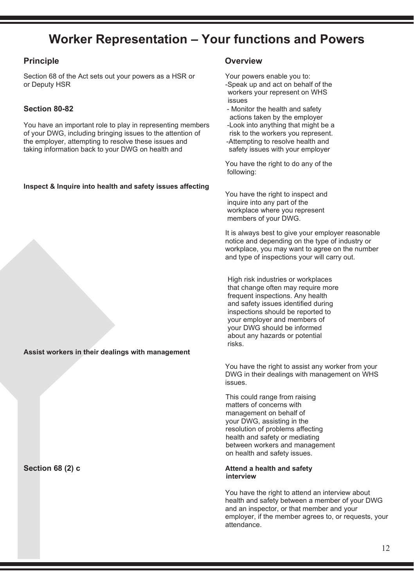### **Worker Representation – Your functions and Powers**

Section 68 of the Act sets out your powers as a HSR or Your powers enable you to:<br>or Deputy HSR or Your powers as a HSR or Your powers enable you to:

You have an important role to play in representing members -Look into anything that might be a<br>of your DWG, including bringing issues to the attention of risk to the workers you represent. of your DWG, including bringing issues to the attention of risk to the workers you represent<br>the employer, attempting to resolve these issues and -Attempting to resolve health and the employer, attempting to resolve these issues and -Attempting to resolve health and taking information back to your DWG on health and safety issues with your employer taking information back to your DWG on health and

#### **Inspect & Inquire into health and safety issues affecting**

**Assist workers in their dealings with management**

#### **Principle Contract Contract Contract Contract Contract Contract Contract Contract Contract Contract Contract Contract Contract Contract Contract Contract Contract Contract Contract Contract Contract Contract Contract Cont**

-Speak up and act on behalf of the workers your represent on WHS issues

- **Section 80-82 Section 80-82 Monitor the health and safety** 
	- actions taken by the employer<br>-Look into anything that might be a

You have the right to do any of the following:

You have the right to inspect and inquire into any part of the workplace where you represent members of your DWG.

It is always best to give your employer reasonable notice and depending on the type of industry or workplace, you may want to agree on the number and type of inspections your will carry out.

 High risk industries or workplaces that change often may require more frequent inspections. Any health and safety issues identified during inspections should be reported to your employer and members of your DWG should be informed about any hazards or potential risks.

You have the right to assist any worker from your DWG in their dealings with management on WHS issues.

 This could range from raising matters of concerns with management on behalf of your DWG, assisting in the resolution of problems affecting health and safety or mediating between workers and management on health and safety issues.

### **Section 68 (2) c Attend a health and safety Attend a health and safety** *Attend* **a health and safety interview** interview and the contract of the contract of the contract of the contract of the contract of the con

You have the right to attend an interview about health and safety between a member of your DWG and an inspector, or that member and your employer, if the member agrees to, or requests, your attendance.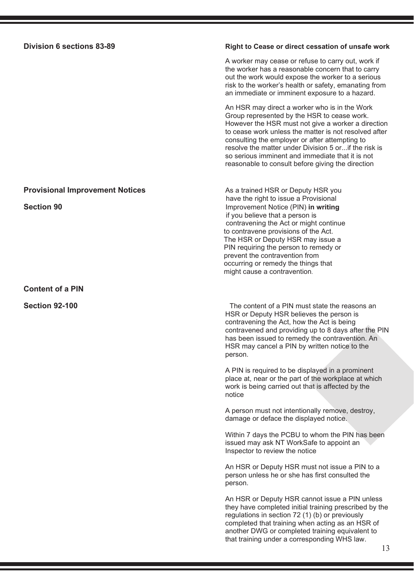### **Division 6 sections 83-89 Right to Cease or direct cessation of unsafe work**

A worker may cease or refuse to carry out, work if the worker has a reasonable concern that to carry out the work would expose the worker to a serious risk to the worker's health or safety, emanating from an immediate or imminent exposure to a hazard.

An HSR may direct a worker who is in the Work Group represented by the HSR to cease work. However the HSR must not give a worker a direction to cease work unless the matter is not resolved after consulting the employer or after attempting to resolve the matter under Division 5 or...if the risk is so serious imminent and immediate that it is not reasonable to consult before giving the direction

**Provisional Improvement Notices** As a trained HSR or Deputy HSR you have the right to issue a Provisional<br> **Section 90 Section 90 CONCRET IN A PROVISION Section 90 CONCRET IN A PROVISION Improvement Notice (PIN) in writing** if you believe that a person is contravening the Act or might continue to contravene provisions of the Act. The HSR or Deputy HSR may issue a PIN requiring the person to remedy or prevent the contravention from occurring or remedy the things that might cause a contravention.

**Section 92-100 The content of a PIN must state the reasons and Section 92-100** HSR or Deputy HSR believes the person is contravening the Act, how the Act is being contravened and providing up to 8 days after the PIN has been issued to remedy the contravention. An HSR may cancel a PIN by written notice to the person.

> A PIN is required to be displayed in a prominent place at, near or the part of the workplace at which work is being carried out that is affected by the notice

A person must not intentionally remove, destroy, damage or deface the displayed notice.

Within 7 days the PCBU to whom the PIN has been issued may ask NT WorkSafe to appoint an Inspector to review the notice

An HSR or Deputy HSR must not issue a PIN to a person unless he or she has first consulted the person.

An HSR or Deputy HSR cannot issue a PIN unless they have completed initial training prescribed by the regulations in section 72 (1) (b) or previously completed that training when acting as an HSR of another DWG or completed training equivalent to that training under a corresponding WHS law.

**Content of a PIN**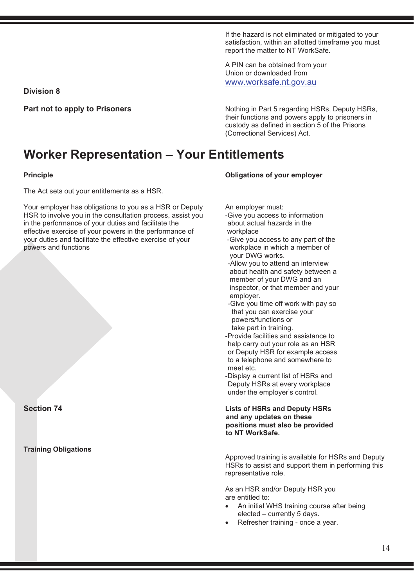If the hazard is not eliminated or mitigated to your satisfaction, within an allotted timeframe you must report the matter to NT WorkSafe.

A PIN can be obtained from your Union or downloaded from www.worksafe.nt.gov.au

**Division 8**

**Part not to apply to Prisoners** Nothing in Part 5 regarding HSRs, Deputy HSRs, their functions and powers apply to prisoners in custody as defined in section 5 of the Prisons (Correctional Services) Act.

### **Worker Representation – Your Entitlements**

The Act sets out your entitlements as a HSR.

Your employer has obligations to you as a HSR or Deputy An employer must:<br>HSR to involve you in the consultation process, assist you encive you access to information HSR to involve you in the consultation process, assist you -Give you access to information in the performance of your duties and facilitate the about actual hazards in the in the performance of your duties and facilitate the about actual has a about actual has effective exercise of vour powers in the performance of approximation workplace effective exercise of your powers in the performance of workplace<br>your duties and facilitate the effective exercise of your - Give you access to any part of the your duties and facilitate the effective exercise of your powers and functions workplace in which a member of

#### **Training Obligations**

### **Principle Obligations of your employer**

- 
- your DWG works.
- -Allow you to attend an interview about health and safety between a member of your DWG and an inspector, or that member and your employer. The contract of the contract of the contract of the contract of the contract of the contract of the c
	- -Give you time off work with pay so that you can exercise your powers/functions or take part in training.
- -Provide facilities and assistance to help carry out your role as an HSR or Deputy HSR for example access to a telephone and somewhere to<br>meet etc. meet etc. The contract of the contract of the contract of the contract of the contract of the contract of the contract of the contract of the contract of the contract of the contract of the contract of the contract of the
	- -Display a current list of HSRs and Deputy HSRs at every workplace under the employer's control.

#### **Section 74 Lists of HSRs and Deputy HSRs and any updates on these positions must also be provided to NT WorkSafe.**

Approved training is available for HSRs and Deputy HSRs to assist and support them in performing this representative role.

As an HSR and/or Deputy HSR you are entitled to:

- An initial WHS training course after being elected – currently 5 days.
- Refresher training once a year.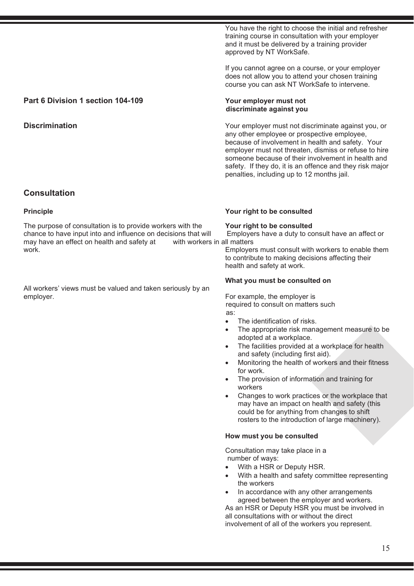You have the right to choose the initial and refresher training course in consultation with your employer and it must be delivered by a training provider approved by NT WorkSafe.

If you cannot agree on a course, or your employer does not allow you to attend your chosen training course you can ask NT WorkSafe to intervene.

any other employee or prospective employee, because of involvement in health and safety. Your employer must not threaten, dismiss or refuse to hire someone because of their involvement in health and safety. If they do, it is an offence and they risk major

penalties, including up to 12 months jail.

### **Part 6 Division 1 section 104-109 Your employer must not**

#### **Discrimination Discrimination V**our employer must not discriminate against you, or

**Consultation**

The purpose of consultation is to provide workers with the **Your right to be consulted**<br>
chance to have input into and influence on decisions that will Employers have a duty to consult have an affect or chance to have input into and influence on decisions that will Employe<br>may have an effect on health and safety at with workers in all matters may have an effect on health and safety at work.

All workers' views must be valued and taken seriously by an employer. The employer is the employer is the employer is the employer is the employer is the employer is the employer is the employer is the employer is the employer is the employer is the employer is the employer is the

#### **Principle Your right to be consulted**

 **discriminate against you**

Employers must consult with workers to enable them to contribute to making decisions affecting their health and safety at work.

#### **What you must be consulted on**

 required to consult on matters such as:

- The identification of risks.
- The appropriate risk management measure to be adopted at a workplace.
- The facilities provided at a workplace for health and safety (including first aid).
- Monitoring the health of workers and their fitness for work.
- The provision of information and training for workers
- Changes to work practices or the workplace that may have an impact on health and safety (this could be for anything from changes to shift rosters to the introduction of large machinery).

#### **How must you be consulted**

 Consultation may take place in a number of ways:

- With a HSR or Deputy HSR.
- With a health and safety committee representing the workers
- In accordance with any other arrangements agreed between the employer and workers.

As an HSR or Deputy HSR you must be involved in all consultations with or without the direct involvement of all of the workers you represent.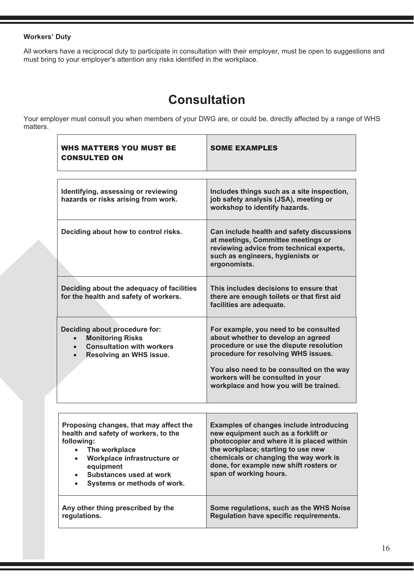### **Workers' Duty**

 $\overline{1}$ 

All workers have a reciprocal duty to participate in consultation with their employer, must be open to suggestions and must bring to your employer's attention any risks identified in the workplace.

### **Consultation**

Your employer must consult you when members of your DWG are, or could be, directly affected by a range of WHS matters.  $\top$ 

| <b>WHS MATTERS YOU MUST BE</b><br><b>CONSULTED ON</b>                                                                                                                                                                                                      | <b>SOME EXAMPLES</b>                                                                                                                                                                                                                                                                     |
|------------------------------------------------------------------------------------------------------------------------------------------------------------------------------------------------------------------------------------------------------------|------------------------------------------------------------------------------------------------------------------------------------------------------------------------------------------------------------------------------------------------------------------------------------------|
|                                                                                                                                                                                                                                                            |                                                                                                                                                                                                                                                                                          |
| Identifying, assessing or reviewing<br>hazards or risks arising from work.                                                                                                                                                                                 | Includes things such as a site inspection,<br>job safety analysis (JSA), meeting or<br>workshop to identify hazards.                                                                                                                                                                     |
| Deciding about how to control risks.                                                                                                                                                                                                                       | Can include health and safety discussions<br>at meetings, Committee meetings or<br>reviewing advice from technical experts,<br>such as engineers, hygienists or<br>ergonomists.                                                                                                          |
| Deciding about the adequacy of facilities<br>for the health and safety of workers.                                                                                                                                                                         | This includes decisions to ensure that<br>there are enough toilets or that first aid<br>facilities are adequate.                                                                                                                                                                         |
| Deciding about procedure for:<br><b>Monitoring Risks</b><br>$\bullet$<br><b>Consultation with workers</b><br>$\bullet$<br>Resolving an WHS issue.                                                                                                          | For example, you need to be consulted<br>about whether to develop an agreed<br>procedure or use the dispute resolution<br>procedure for resolving WHS issues.<br>You also need to be consulted on the way<br>workers will be consulted in your<br>workplace and how you will be trained. |
|                                                                                                                                                                                                                                                            |                                                                                                                                                                                                                                                                                          |
| Proposing changes, that may affect the<br>health and safety of workers, to the<br>following:<br>The workplace<br>$\bullet$<br>Workplace infrastructure or<br>$\bullet$<br>equipment<br>Substances used at work<br>Systems or methods of work.<br>$\bullet$ | <b>Examples of changes include introducing</b><br>new equipment such as a forklift or<br>photocopier and where it is placed within<br>the workplace; starting to use new<br>chemicals or changing the way work is<br>done, for example new shift rosters or<br>span of working hours.    |
| Any other thing prescribed by the<br>regulations.                                                                                                                                                                                                          | Some regulations, such as the WHS Noise<br>Regulation have specific requirements.                                                                                                                                                                                                        |

٦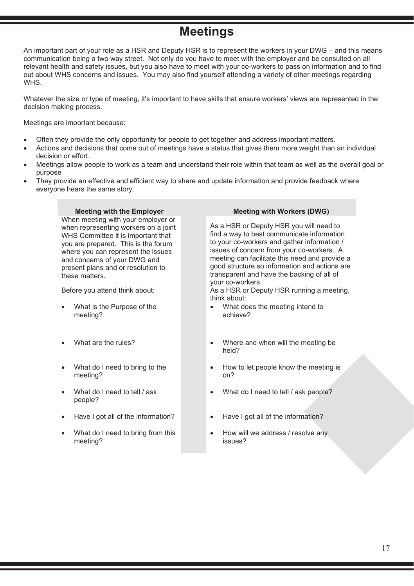### **Meetings**

An important part of your role as a HSR and Deputy HSR is to represent the workers in your DWG – and this means communication being a two way street. Not only do you have to meet with the employer and be consulted on all relevant health and safety issues, but you also have to meet with your co-workers to pass on information and to find out about WHS concerns and issues. You may also find yourself attending a variety of other meetings regarding **WHS** 

Whatever the size or type of meeting, it's important to have skills that ensure workers' views are represented in the decision making process.

Meetings are important because:

- Often they provide the only opportunity for people to get together and address important matters.
- Actions and decisions that come out of meetings have a status that gives them more weight than an individual decision or effort.
- Meetings allow people to work as a team and understand their role within that team as well as the overall goal or purpose
- They provide an effective and efficient way to share and update information and provide feedback where everyone hears the same story.

### **Meeting with the Employer Meeting with Workers (DWG)**

When meeting with your employer or when representing workers on a joint WHS Committee it is important that you are prepared. This is the forum where you can represent the issues and concerns of your DWG and present plans and or resolution to these matters.

- What is the Purpose of the meeting?
- 
- What do I need to bring to the meeting?
- What do I need to tell / ask people?
- 
- What do I need to bring from this meeting?

As a HSR or Deputy HSR you will need to find a way to best communicate information to your co-workers and gather information / issues of concern from your co-workers. A meeting can facilitate this need and provide a good structure so information and actions are transparent and have the backing of all of your co-workers.

Before you attend think about: As a HSR or Deputy HSR running a meeting, think about:

- What does the meeting intend to achieve?
- What are the rules? Where and when will the meeting be held?
	- How to let people know the meeting is on?
	- What do I need to tell / ask people?
- Have I got all of the information? Have I got all of the information?
	- How will we address / resolve any issues?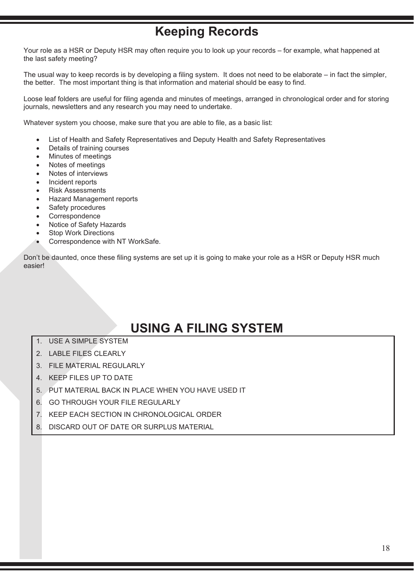### **Keeping Records**

Your role as a HSR or Deputy HSR may often require you to look up your records – for example, what happened at the last safety meeting?

The usual way to keep records is by developing a filing system. It does not need to be elaborate – in fact the simpler, the better. The most important thing is that information and material should be easy to find.

Loose leaf folders are useful for filing agenda and minutes of meetings, arranged in chronological order and for storing journals, newsletters and any research you may need to undertake.

Whatever system you choose, make sure that you are able to file, as a basic list:

- List of Health and Safety Representatives and Deputy Health and Safety Representatives
- Details of training courses
- Minutes of meetings
- Notes of meetings
- Notes of interviews
- Incident reports
- Risk Assessments
- Hazard Management reports
- Safety procedures
- **Correspondence**
- Notice of Safety Hazards
- **Stop Work Directions**
- Correspondence with NT WorkSafe.

Don't be daunted, once these filing systems are set up it is going to make your role as a HSR or Deputy HSR much easier!

### **USING A FILING SYSTEM**

- 1. USE A SIMPLE SYSTEM
- 2. LABLE FILES CLEARLY
- 3. FILE MATERIAL REGULARLY
- 4. KEEP FILES UP TO DATE
- 5. PUT MATERIAL BACK IN PLACE WHEN YOU HAVE USED IT
- 6. GO THROUGH YOUR FILE REGULARLY
- 7. KEEP EACH SECTION IN CHRONOLOGICAL ORDER
- 8. DISCARD OUT OF DATE OR SURPLUS MATERIAL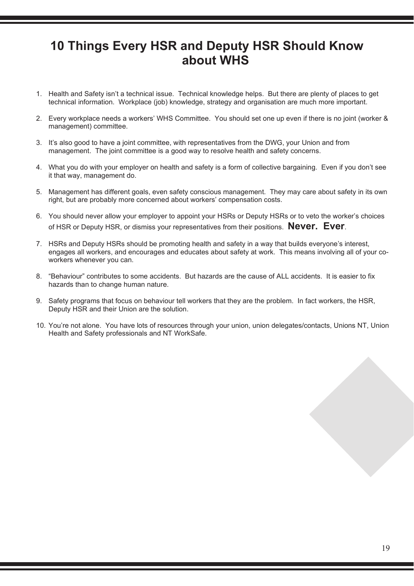### **10 Things Every HSR and Deputy HSR Should Know about WHS**

- 1. Health and Safety isn't a technical issue. Technical knowledge helps. But there are plenty of places to get technical information. Workplace (job) knowledge, strategy and organisation are much more important.
- 2. Every workplace needs a workers' WHS Committee. You should set one up even if there is no joint (worker & management) committee.
- 3. It's also good to have a joint committee, with representatives from the DWG, your Union and from management. The joint committee is a good way to resolve health and safety concerns.
- 4. What you do with your employer on health and safety is a form of collective bargaining. Even if you don't see it that way, management do.
- 5. Management has different goals, even safety conscious management. They may care about safety in its own right, but are probably more concerned about workers' compensation costs.
- 6. You should never allow your employer to appoint your HSRs or Deputy HSRs or to veto the worker's choices of HSR or Deputy HSR, or dismiss your representatives from their positions. **Never. Ever**.
- 7. HSRs and Deputy HSRs should be promoting health and safety in a way that builds everyone's interest, engages all workers, and encourages and educates about safety at work. This means involving all of your coworkers whenever you can.
- 8. "Behaviour" contributes to some accidents. But hazards are the cause of ALL accidents. It is easier to fix hazards than to change human nature.
- 9. Safety programs that focus on behaviour tell workers that they are the problem. In fact workers, the HSR, Deputy HSR and their Union are the solution.
- 10. You're not alone. You have lots of resources through your union, union delegates/contacts, Unions NT, Union Health and Safety professionals and NT WorkSafe.